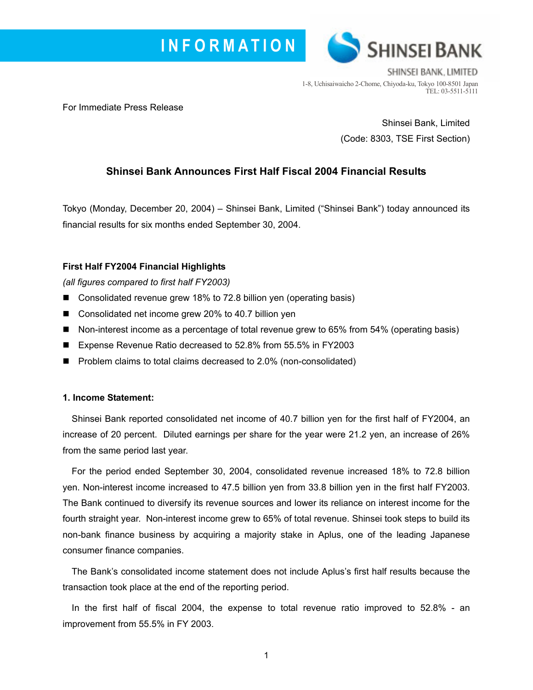



SHINSEI BANK. LIMITED 1-8, Uchisaiwaicho 2-Chome, Chiyoda-ku, Tokyo 100-8501 Japan TEL: 03-5511-5111

For Immediate Press Release

Shinsei Bank, Limited (Code: 8303, TSE First Section)

# **Shinsei Bank Announces First Half Fiscal 2004 Financial Results**

Tokyo (Monday, December 20, 2004) – Shinsei Bank, Limited ("Shinsei Bank") today announced its financial results for six months ended September 30, 2004.

### **First Half FY2004 Financial Highlights**

*(all figures compared to first half FY2003)* 

- Consolidated revenue grew 18% to 72.8 billion yen (operating basis)
- Consolidated net income grew 20% to 40.7 billion yen
- Non-interest income as a percentage of total revenue grew to 65% from 54% (operating basis)
- Expense Revenue Ratio decreased to 52.8% from 55.5% in FY2003
- Problem claims to total claims decreased to 2.0% (non-consolidated)

#### **1. Income Statement:**

Shinsei Bank reported consolidated net income of 40.7 billion yen for the first half of FY2004, an increase of 20 percent. Diluted earnings per share for the year were 21.2 yen, an increase of 26% from the same period last year.

For the period ended September 30, 2004, consolidated revenue increased 18% to 72.8 billion yen. Non-interest income increased to 47.5 billion yen from 33.8 billion yen in the first half FY2003. The Bank continued to diversify its revenue sources and lower its reliance on interest income for the fourth straight year. Non-interest income grew to 65% of total revenue. Shinsei took steps to build its non-bank finance business by acquiring a majority stake in Aplus, one of the leading Japanese consumer finance companies.

The Bankís consolidated income statement does not include Aplusís first half results because the transaction took place at the end of the reporting period.

In the first half of fiscal 2004, the expense to total revenue ratio improved to 52.8% - an improvement from 55.5% in FY 2003.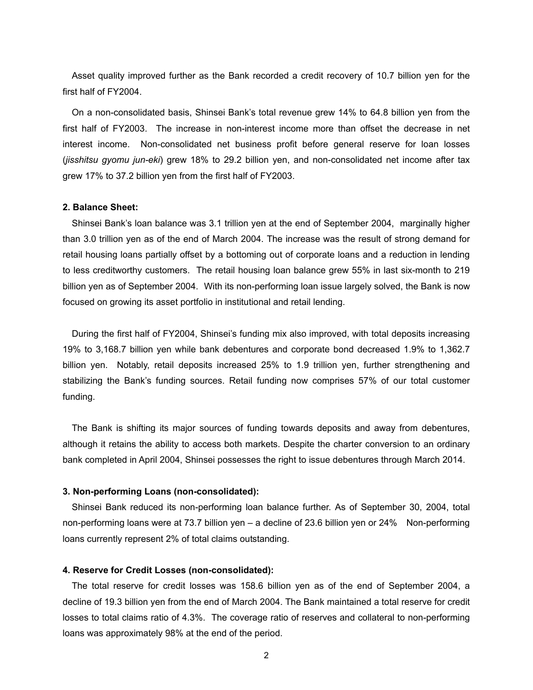Asset quality improved further as the Bank recorded a credit recovery of 10.7 billion yen for the first half of FY2004.

On a non-consolidated basis, Shinsei Bankís total revenue grew 14% to 64.8 billion yen from the first half of FY2003. The increase in non-interest income more than offset the decrease in net interest income. Non-consolidated net business profit before general reserve for loan losses (*jisshitsu gyomu jun-eki*) grew 18% to 29.2 billion yen, and non-consolidated net income after tax grew 17% to 37.2 billion yen from the first half of FY2003.

#### **2. Balance Sheet:**

Shinsei Bankís loan balance was 3.1 trillion yen at the end of September 2004, marginally higher than 3.0 trillion yen as of the end of March 2004. The increase was the result of strong demand for retail housing loans partially offset by a bottoming out of corporate loans and a reduction in lending to less creditworthy customers. The retail housing loan balance grew 55% in last six-month to 219 billion yen as of September 2004.With its non-performing loan issue largely solved, the Bank is now focused on growing its asset portfolio in institutional and retail lending.

During the first half of FY2004, Shinsei's funding mix also improved, with total deposits increasing 19% to 3,168.7 billion yen while bank debentures and corporate bond decreased 1.9% to 1,362.7 billion yen. Notably, retail deposits increased 25% to 1.9 trillion yen, further strengthening and stabilizing the Bankís funding sources. Retail funding now comprises 57% of our total customer funding.

The Bank is shifting its major sources of funding towards deposits and away from debentures, although it retains the ability to access both markets. Despite the charter conversion to an ordinary bank completed in April 2004, Shinsei possesses the right to issue debentures through March 2014.

#### **3. Non-performing Loans (non-consolidated):**

Shinsei Bank reduced its non-performing loan balance further. As of September 30, 2004, total non-performing loans were at 73.7 billion yen  $-$  a decline of 23.6 billion yen or 24% Non-performing loans currently represent 2% of total claims outstanding.

#### **4. Reserve for Credit Losses (non-consolidated):**

The total reserve for credit losses was 158.6 billion yen as of the end of September 2004, a decline of 19.3 billion yen from the end of March 2004. The Bank maintained a total reserve for credit losses to total claims ratio of 4.3%. The coverage ratio of reserves and collateral to non-performing loans was approximately 98% at the end of the period.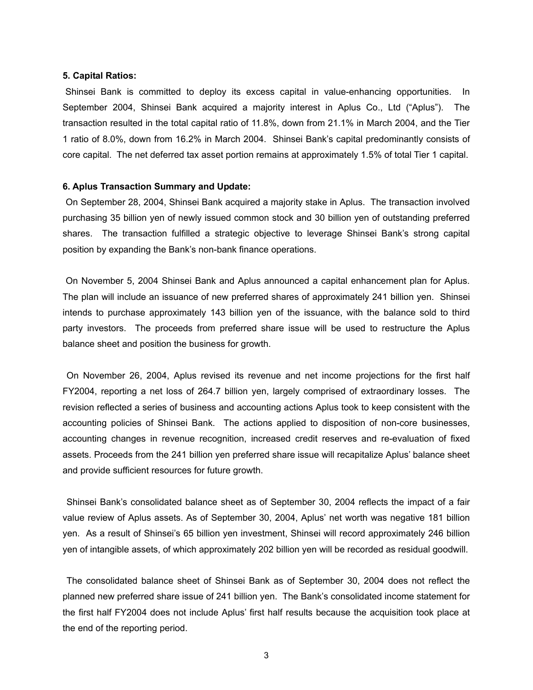#### **5. Capital Ratios:**

Shinsei Bank is committed to deploy its excess capital in value-enhancing opportunities. In September 2004, Shinsei Bank acquired a majority interest in Aplus Co., Ltd ("Aplus"). The transaction resulted in the total capital ratio of 11.8%, down from 21.1% in March 2004, and the Tier 1 ratio of 8.0%, down from 16.2% in March 2004. Shinsei Bankís capital predominantly consists of core capital. The net deferred tax asset portion remains at approximately 1.5% of total Tier 1 capital.

#### **6. Aplus Transaction Summary and Update:**

On September 28, 2004, Shinsei Bank acquired a majority stake in Aplus. The transaction involved purchasing 35 billion yen of newly issued common stock and 30 billion yen of outstanding preferred shares. The transaction fulfilled a strategic objective to leverage Shinsei Bank's strong capital position by expanding the Bank's non-bank finance operations.

On November 5, 2004 Shinsei Bank and Aplus announced a capital enhancement plan for Aplus. The plan will include an issuance of new preferred shares of approximately 241 billion yen. Shinsei intends to purchase approximately 143 billion yen of the issuance, with the balance sold to third party investors. The proceeds from preferred share issue will be used to restructure the Aplus balance sheet and position the business for growth.

On November 26, 2004, Aplus revised its revenue and net income projections for the first half FY2004, reporting a net loss of 264.7 billion yen, largely comprised of extraordinary losses. The revision reflected a series of business and accounting actions Aplus took to keep consistent with the accounting policies of Shinsei Bank. The actions applied to disposition of non-core businesses, accounting changes in revenue recognition, increased credit reserves and re-evaluation of fixed assets. Proceeds from the 241 billion yen preferred share issue will recapitalize Aplusí balance sheet and provide sufficient resources for future growth.

Shinsei Bankís consolidated balance sheet as of September 30, 2004 reflects the impact of a fair value review of Aplus assets. As of September 30, 2004, Aplus' net worth was negative 181 billion yen. As a result of Shinseiís 65 billion yen investment, Shinsei will record approximately 246 billion yen of intangible assets, of which approximately 202 billion yen will be recorded as residual goodwill.

The consolidated balance sheet of Shinsei Bank as of September 30, 2004 does not reflect the planned new preferred share issue of 241 billion yen. The Bank's consolidated income statement for the first half FY2004 does not include Aplus' first half results because the acquisition took place at the end of the reporting period.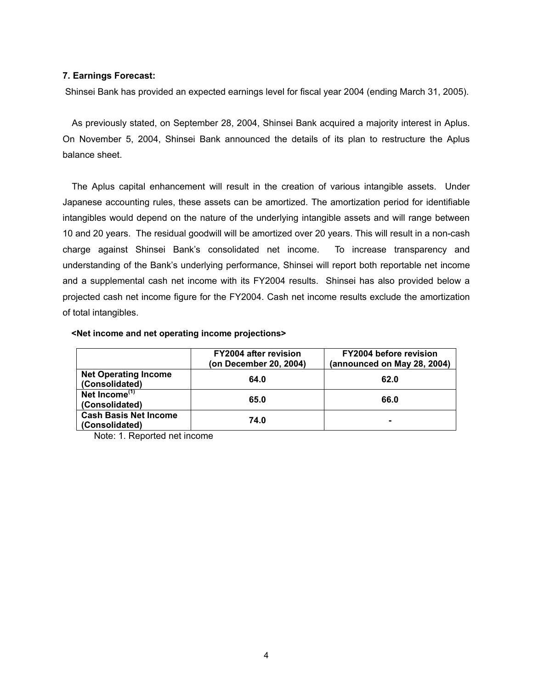#### **7. Earnings Forecast:**

Shinsei Bank has provided an expected earnings level for fiscal year 2004 (ending March 31, 2005).

As previously stated, on September 28, 2004, Shinsei Bank acquired a majority interest in Aplus. On November 5, 2004, Shinsei Bank announced the details of its plan to restructure the Aplus balance sheet.

The Aplus capital enhancement will result in the creation of various intangible assets. Under Japanese accounting rules, these assets can be amortized. The amortization period for identifiable intangibles would depend on the nature of the underlying intangible assets and will range between 10 and 20 years. The residual goodwill will be amortized over 20 years. This will result in a non-cash charge against Shinsei Bankís consolidated net income. To increase transparency and understanding of the Bankís underlying performance, Shinsei will report both reportable net income and a supplemental cash net income with its FY2004 results. Shinsei has also provided below a projected cash net income figure for the FY2004. Cash net income results exclude the amortization of total intangibles.

|                                                | <b>FY2004 after revision</b><br>(on December 20, 2004) | <b>FY2004 before revision</b><br>(announced on May 28, 2004) |
|------------------------------------------------|--------------------------------------------------------|--------------------------------------------------------------|
| <b>Net Operating Income</b><br>(Consolidated)  | 64.0                                                   | 62.0                                                         |
| Net Income <sup>(1)</sup><br>(Consolidated)    | 65.0                                                   | 66.0                                                         |
| <b>Cash Basis Net Income</b><br>(Consolidated) | 74.0                                                   |                                                              |

#### **<Net income and net operating income projections>**

Note: 1. Reported net income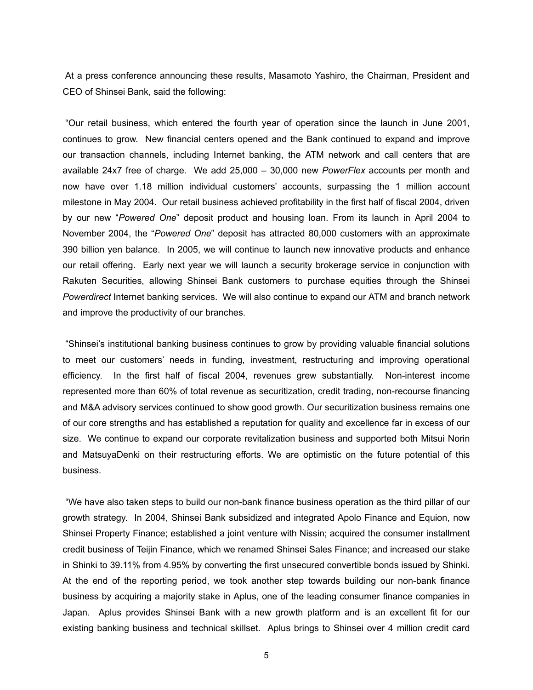At a press conference announcing these results, Masamoto Yashiro, the Chairman, President and CEO of Shinsei Bank, said the following:

ìOur retail business, which entered the fourth year of operation since the launch in June 2001, continues to grow. New financial centers opened and the Bank continued to expand and improve our transaction channels, including Internet banking, the ATM network and call centers that are available 24x7 free of charge. We add 25,000 - 30,000 new *PowerFlex* accounts per month and now have over 1.18 million individual customersí accounts, surpassing the 1 million account milestone in May 2004. Our retail business achieved profitability in the first half of fiscal 2004, driven by our new ì*Powered One*î deposit product and housing loan. From its launch in April 2004 to November 2004, the *"Powered One"* deposit has attracted 80,000 customers with an approximate 390 billion yen balance. In 2005, we will continue to launch new innovative products and enhance our retail offering. Early next year we will launch a security brokerage service in conjunction with Rakuten Securities, allowing Shinsei Bank customers to purchase equities through the Shinsei *Powerdirect* Internet banking services. We will also continue to expand our ATM and branch network and improve the productivity of our branches.

ìShinseiís institutional banking business continues to grow by providing valuable financial solutions to meet our customersí needs in funding, investment, restructuring and improving operational efficiency. In the first half of fiscal 2004, revenues grew substantially. Non-interest income represented more than 60% of total revenue as securitization, credit trading, non-recourse financing and M&A advisory services continued to show good growth. Our securitization business remains one of our core strengths and has established a reputation for quality and excellence far in excess of our size. We continue to expand our corporate revitalization business and supported both Mitsui Norin and MatsuyaDenki on their restructuring efforts. We are optimistic on the future potential of this business.

ìWe have also taken steps to build our non-bank finance business operation as the third pillar of our growth strategy. In 2004, Shinsei Bank subsidized and integrated Apolo Finance and Equion, now Shinsei Property Finance; established a joint venture with Nissin; acquired the consumer installment credit business of Teijin Finance, which we renamed Shinsei Sales Finance; and increased our stake in Shinki to 39.11% from 4.95% by converting the first unsecured convertible bonds issued by Shinki. At the end of the reporting period, we took another step towards building our non-bank finance business by acquiring a majority stake in Aplus, one of the leading consumer finance companies in Japan. Aplus provides Shinsei Bank with a new growth platform and is an excellent fit for our existing banking business and technical skillset. Aplus brings to Shinsei over 4 million credit card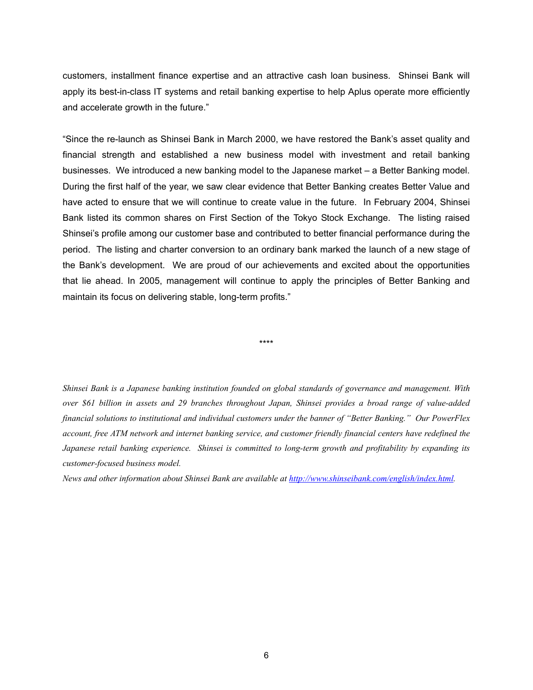customers, installment finance expertise and an attractive cash loan business. Shinsei Bank will apply its best-in-class IT systems and retail banking expertise to help Aplus operate more efficiently and accelerate growth in the future."

"Since the re-launch as Shinsei Bank in March 2000, we have restored the Bank's asset quality and financial strength and established a new business model with investment and retail banking businesses. We introduced a new banking model to the Japanese market – a Better Banking model. During the first half of the year, we saw clear evidence that Better Banking creates Better Value and have acted to ensure that we will continue to create value in the future. In February 2004, Shinsei Bank listed its common shares on First Section of the Tokyo Stock Exchange. The listing raised Shinseiís profile among our customer base and contributed to better financial performance during the period. The listing and charter conversion to an ordinary bank marked the launch of a new stage of the Bankís development. We are proud of our achievements and excited about the opportunities that lie ahead. In 2005, management will continue to apply the principles of Better Banking and maintain its focus on delivering stable, long-term profits."

\*\*\*\*

*Shinsei Bank is a Japanese banking institution founded on global standards of governance and management. With over \$61 billion in assets and 29 branches throughout Japan, Shinsei provides a broad range of value-added financial solutions to institutional and individual customers under the banner of "Better Banking." Our PowerFlex account, free ATM network and internet banking service, and customer friendly financial centers have redefined the Japanese retail banking experience. Shinsei is committed to long-term growth and profitability by expanding its customer-focused business model.* 

*News and other information about Shinsei Bank are available at<http://www.shinseibank.com/english/index.html>.*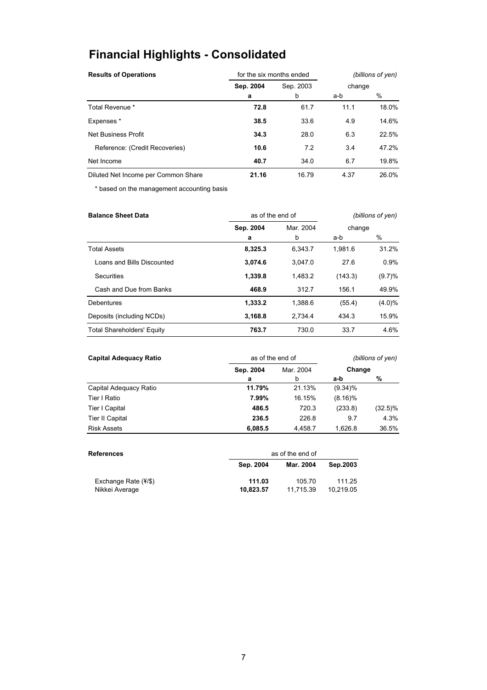# **Financial Highlights - Consolidated**

| <b>Results of Operations</b>        |           | for the six months ended | (billions of yen)<br>change |       |  |
|-------------------------------------|-----------|--------------------------|-----------------------------|-------|--|
|                                     | Sep. 2004 | Sep. 2003                |                             |       |  |
|                                     | a         | b                        | a-b                         | %     |  |
| Total Revenue *                     | 72.8      | 61.7                     | 11.1                        | 18.0% |  |
| Expenses*                           | 38.5      | 33.6                     | 4.9                         | 14.6% |  |
| Net Business Profit                 | 34.3      | 28.0                     | 6.3                         | 22.5% |  |
| Reference: (Credit Recoveries)      | 10.6      | 7.2                      | 3.4                         | 47.2% |  |
| Net Income                          | 40.7      | 34.0                     | 6.7                         | 19.8% |  |
| Diluted Net Income per Common Share | 21.16     | 16.79                    | 4.37                        | 26.0% |  |

\* based on the management accounting basis

| <b>Balance Sheet Data</b>         | as of the end of       |         | (billions of yen) |           |
|-----------------------------------|------------------------|---------|-------------------|-----------|
|                                   | Mar. 2004<br>Sep. 2004 |         | change            |           |
|                                   | a                      | b       | a-b               | %         |
| <b>Total Assets</b>               | 8,325.3                | 6.343.7 | 1.981.6           | 31.2%     |
| Loans and Bills Discounted        | 3,074.6                | 3.047.0 | 27.6              | 0.9%      |
| Securities                        | 1,339.8                | 1,483.2 | (143.3)           | $(9.7)\%$ |
| Cash and Due from Banks           | 468.9                  | 312.7   | 156.1             | 49.9%     |
| <b>Debentures</b>                 | 1,333.2                | 1,388.6 | (55.4)            | $(4.0)\%$ |
| Deposits (including NCDs)         | 3,168.8                | 2.734.4 | 434.3             | 15.9%     |
| <b>Total Shareholders' Equity</b> | 763.7                  | 730.0   | 33.7              | 4.6%      |

| <b>Capital Adequacy Ratio</b> | as of the end of | (billions of yen) |            |            |  |
|-------------------------------|------------------|-------------------|------------|------------|--|
|                               | Sep. 2004        | Mar. 2004         | Change     |            |  |
|                               | a                | b                 | a-b        | %          |  |
| Capital Adequacy Ratio        | 11.79%           | 21.13%            | $(9.34)\%$ |            |  |
| Tier I Ratio                  | 7.99%            | 16.15%            | $(8.16)\%$ |            |  |
| Tier I Capital                | 486.5            | 720.3             | (233.8)    | $(32.5)\%$ |  |
| <b>Tier II Capital</b>        | 236.5            | 226.8             | 9.7        | 4.3%       |  |
| <b>Risk Assets</b>            | 6.085.5          | 4.458.7           | 1.626.8    | 36.5%      |  |

| <b>References</b>                               |                     | as of the end of    |                     |  |  |
|-------------------------------------------------|---------------------|---------------------|---------------------|--|--|
|                                                 | Sep. 2004           | Mar. 2004           | Sep.2003            |  |  |
| Exchange Rate $(\frac{4}{5})$<br>Nikkei Average | 111.03<br>10.823.57 | 105.70<br>11.715.39 | 111.25<br>10.219.05 |  |  |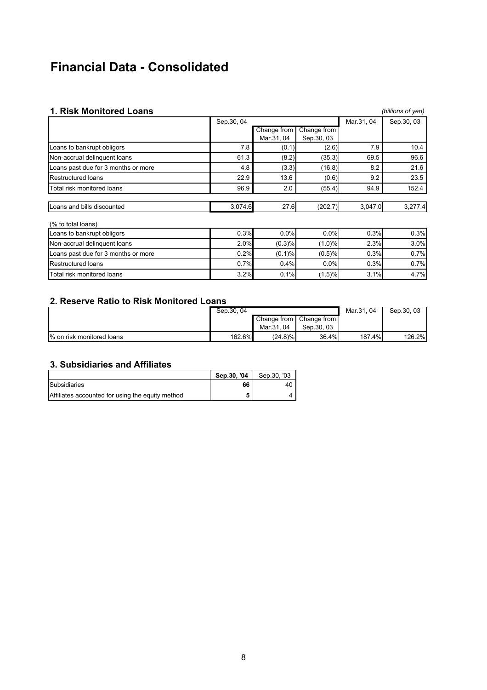# **Financial Data - Consolidated**

## **1. Risk Monitored Loans** *(billions of yen)*

|            |                                      |             |                                                           | ווט טווטווען |
|------------|--------------------------------------|-------------|-----------------------------------------------------------|--------------|
| Sep.30, 04 |                                      |             | Mar.31, 04                                                | Sep.30, 03   |
|            | Change from                          | Change from |                                                           |              |
|            | Mar.31, 04                           | Sep.30, 03  |                                                           |              |
| 7.8        |                                      | (2.6)       | 7.9                                                       | 10.4         |
| 61.3       | (8.2)                                | (35.3)      | 69.5                                                      | 96.6         |
| 4.8        | (3.3)                                | (16.8)      | 8.2                                                       | 21.6         |
| 22.9       | 13.6                                 | (0.6)       | 9.2                                                       | 23.5         |
| 96.9       | 2.0                                  | (55.4)      | 94.9                                                      | 152.4        |
|            |                                      | (202.7)     | 3,047.0                                                   | 3,277.4      |
|            |                                      |             |                                                           |              |
|            |                                      | 0.0%        | 0.3%                                                      | 0.3%         |
|            |                                      | (1.0)%      | 2.3%                                                      | 3.0%         |
|            |                                      | (0.5)%      | 0.3%                                                      | 0.7%         |
|            |                                      | 0.0%        | 0.3%                                                      | 0.7%         |
|            |                                      | (1.5)%      | 3.1%                                                      | 4.7%         |
|            | 0.3%<br>2.0%<br>0.2%<br>0.7%<br>3.2% | 3,074.6     | (0.1)<br>27.6<br>0.0%<br>(0.3)%<br>(0.1)%<br>0.4%<br>0.1% |              |

### **2. Reserve Ratio to Risk Monitored Loans**

|                           | Sep. 30, 04 |             |             | Mar.31, 04 | Sep.30, 03 |
|---------------------------|-------------|-------------|-------------|------------|------------|
|                           |             | Change from | Change from |            |            |
|                           |             | Mar.31, 04  | Sep.30, 03  |            |            |
| % on risk monitored loans | 162.6%      | $(24.8)\%$  | 36.4%       | 187.4%     | 126.2%     |

# **3. Subsidiaries and Affiliates**

|                                                  | Sep.30. '04 | Sep.30, '03 |
|--------------------------------------------------|-------------|-------------|
| Subsidiaries                                     | 66          | 40          |
| Affiliates accounted for using the equity method | 5           |             |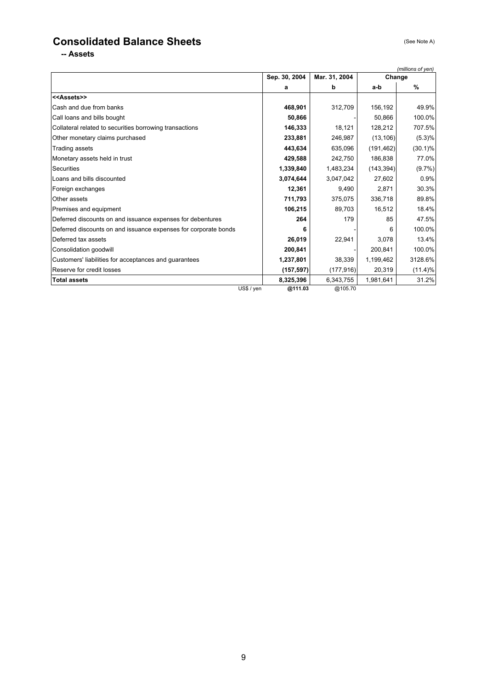# **Consolidated Balance Sheets** (See Note A)

**-- Assets**

|                                                                 |               |               |            | (millions of yen) |
|-----------------------------------------------------------------|---------------|---------------|------------|-------------------|
|                                                                 | Sep. 30, 2004 | Mar. 31, 2004 | Change     |                   |
|                                                                 | a             | b             | a-b        | %                 |
| < <assets>&gt;</assets>                                         |               |               |            |                   |
| Cash and due from banks                                         | 468,901       | 312,709       | 156,192    | 49.9%             |
| Call loans and bills bought                                     | 50,866        |               | 50,866     | 100.0%            |
| Collateral related to securities borrowing transactions         | 146,333       | 18,121        | 128,212    | 707.5%            |
| Other monetary claims purchased                                 | 233,881       | 246,987       | (13, 106)  | (5.3)%            |
| Trading assets                                                  | 443,634       | 635,096       | (191, 462) | $(30.1)\%$        |
| Monetary assets held in trust                                   | 429,588       | 242,750       | 186,838    | 77.0%             |
| Securities                                                      | 1,339,840     | 1,483,234     | (143, 394) | $(9.7\%)$         |
| Loans and bills discounted                                      | 3,074,644     | 3,047,042     | 27,602     | 0.9%              |
| Foreign exchanges                                               | 12.361        | 9.490         | 2,871      | 30.3%             |
| Other assets                                                    | 711,793       | 375,075       | 336,718    | 89.8%             |
| Premises and equipment                                          | 106,215       | 89,703        | 16,512     | 18.4%             |
| Deferred discounts on and issuance expenses for debentures      | 264           | 179           | 85         | 47.5%             |
| Deferred discounts on and issuance expenses for corporate bonds | 6             |               | 6          | 100.0%            |
| Deferred tax assets                                             | 26,019        | 22,941        | 3.078      | 13.4%             |
| Consolidation goodwill                                          | 200,841       |               | 200,841    | 100.0%            |
| Customers' liabilities for acceptances and guarantees           | 1,237,801     | 38,339        | 1,199,462  | 3128.6%           |
| Reserve for credit losses                                       | (157, 597)    | (177, 916)    | 20,319     | (11.4)%           |
| <b>Total assets</b>                                             | 8,325,396     | 6,343,755     | 1,981,641  | 31.2%             |
| US\$ / yen                                                      | @111.03       | @105.70       |            |                   |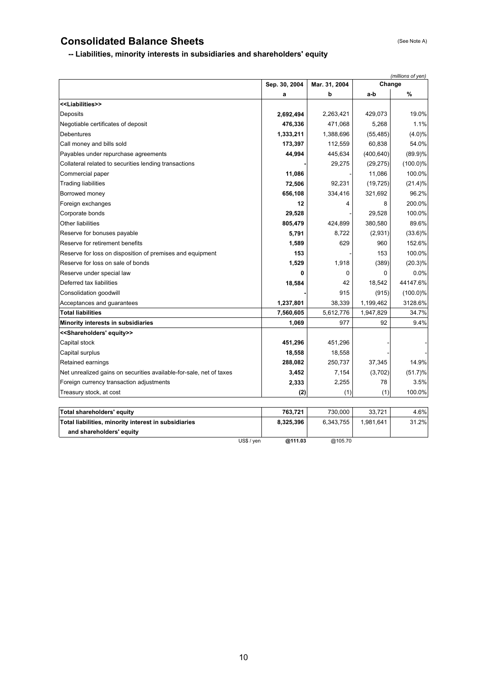# **Consolidated Balance Sheets** (See Note A)

**and shareholders' equity**

**Contract Contract Contract Contract Contract** 

# **-- Liabilities, minority interests in subsidiaries and shareholders' equity**

|                                                                     |               | (millions of yen) |            |             |  |
|---------------------------------------------------------------------|---------------|-------------------|------------|-------------|--|
|                                                                     | Sep. 30, 2004 | Mar. 31, 2004     | Change     |             |  |
|                                                                     | a             | b                 | a-b        | %           |  |
| < <liabilities>&gt;</liabilities>                                   |               |                   |            |             |  |
| Deposits                                                            | 2,692,494     | 2,263,421         | 429,073    | 19.0%       |  |
| Negotiable certificates of deposit                                  | 476,336       | 471,068           | 5,268      | 1.1%        |  |
| <b>Debentures</b>                                                   | 1,333,211     | 1,388,696         | (55, 485)  | $(4.0)\%$   |  |
| Call money and bills sold                                           | 173,397       | 112,559           | 60,838     | 54.0%       |  |
| Payables under repurchase agreements                                | 44,994        | 445,634           | (400, 640) | $(89.9)\%$  |  |
| Collateral related to securities lending transactions               |               | 29,275            | (29, 275)  | $(100.0)\%$ |  |
| Commercial paper                                                    | 11,086        |                   | 11,086     | 100.0%      |  |
| <b>Trading liabilities</b>                                          | 72,506        | 92,231            | (19, 725)  | $(21.4)\%$  |  |
| Borrowed money                                                      | 656,108       | 334,416           | 321,692    | 96.2%       |  |
| Foreign exchanges                                                   | 12            | 4                 | 8          | 200.0%      |  |
| Corporate bonds                                                     | 29,528        |                   | 29,528     | 100.0%      |  |
| <b>Other liabilities</b>                                            | 805,479       | 424,899           | 380,580    | 89.6%       |  |
| Reserve for bonuses payable                                         | 5,791         | 8,722             | (2,931)    | $(33.6)\%$  |  |
| Reserve for retirement benefits                                     | 1,589         | 629               | 960        | 152.6%      |  |
| Reserve for loss on disposition of premises and equipment           | 153           |                   | 153        | 100.0%      |  |
| Reserve for loss on sale of bonds                                   | 1,529         | 1,918             | (389)      | $(20.3)\%$  |  |
| Reserve under special law                                           | 0             | 0                 | 0          | 0.0%        |  |
| Deferred tax liabilities                                            | 18,584        | 42                | 18,542     | 44147.6%    |  |
| Consolidation goodwill                                              |               | 915               | (915)      | $(100.0)\%$ |  |
| Acceptances and guarantees                                          | 1,237,801     | 38,339            | 1,199,462  | 3128.6%     |  |
| <b>Total liabilities</b>                                            | 7,560,605     | 5,612,776         | 1,947,829  | 34.7%       |  |
| Minority interests in subsidiaries                                  | 1,069         | 977               | 92         | 9.4%        |  |
| < <shareholders' equity="">&gt;</shareholders'>                     |               |                   |            |             |  |
| Capital stock                                                       | 451,296       | 451,296           |            |             |  |
| Capital surplus                                                     | 18,558        | 18,558            |            |             |  |
| Retained earnings                                                   | 288,082       | 250,737           | 37,345     | 14.9%       |  |
| Net unrealized gains on securities available-for-sale, net of taxes | 3,452         | 7,154             | (3,702)    | (51.7)%     |  |
| Foreign currency transaction adjustments                            | 2,333         | 2,255             | 78         | 3.5%        |  |
| Treasury stock, at cost                                             | (2)           | (1)               | (1)        | 100.0%      |  |
|                                                                     |               |                   |            |             |  |
| <b>Total shareholders' equity</b>                                   | 763,721       | 730,000           | 33,721     | 4.6%        |  |
| Total liabilities, minority interest in subsidiaries                | 8,325,396     | 6,343,755         | 1,981,641  | 31.2%       |  |

US\$ / yen **@111.03** @105.70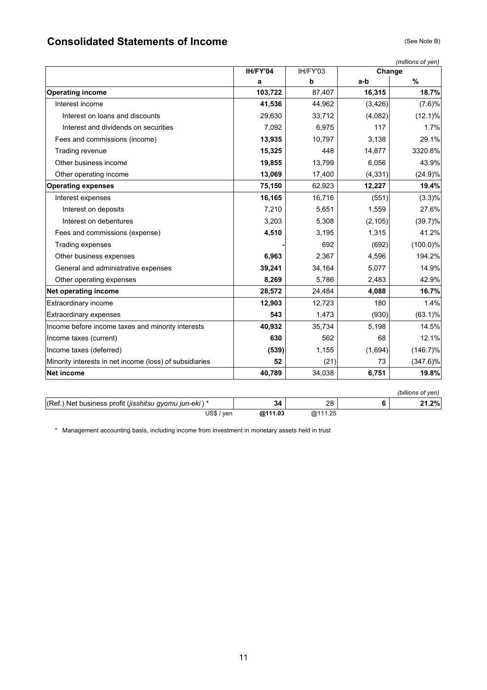# **Consolidated Statements of Income** (See Note B)

|                                                         | (millions of yen) |          |          |                   |
|---------------------------------------------------------|-------------------|----------|----------|-------------------|
|                                                         | IH/FY'04          | IH/FY'03 | Change   |                   |
|                                                         | a                 | b        | a-b      | %                 |
| <b>Operating income</b>                                 | 103,722           | 87,407   | 16,315   | 18.7%             |
| Interest income                                         | 41,536            | 44,962   | (3, 426) | (7.6)%            |
| Interest on loans and discounts                         | 29,630            | 33,712   | (4,082)  | $(12.1)\%$        |
| Interest and dividends on securities                    | 7,092             | 6,975    | 117      | 1.7%              |
| Fees and commissions (income)                           | 13,935            | 10,797   | 3,138    | 29.1%             |
| Trading revenue                                         | 15,325            | 448      | 14,877   | 3320.8%           |
| Other business income                                   | 19,855            | 13,799   | 6,056    | 43.9%             |
| Other operating income                                  | 13,069            | 17,400   | (4, 331) | (24.9)%           |
| <b>Operating expenses</b>                               | 75,150            | 62,923   | 12,227   | 19.4%             |
| Interest expenses                                       | 16,165            | 16,716   | (551)    | $(3.3)\%$         |
| Interest on deposits                                    | 7,210             | 5,651    | 1,559    | 27.6%             |
| Interest on debentures                                  | 3,203             | 5,308    | (2, 105) | $(39.7)\%$        |
| Fees and commissions (expense)                          | 4,510             | 3,195    | 1,315    | 41.2%             |
| Trading expenses                                        |                   | 692      | (692)    | $(100.0)\%$       |
| Other business expenses                                 | 6,963             | 2,367    | 4,596    | 194.2%            |
| General and administrative expenses                     | 39,241            | 34,164   | 5,077    | 14.9%             |
| Other operating expenses                                | 8,269             | 5,786    | 2,483    | 42.9%             |
| Net operating income                                    | 28,572            | 24,484   | 4,088    | 16.7%             |
| Extraordinary income                                    | 12,903            | 12,723   | 180      | 1.4%              |
| <b>Extraordinary expenses</b>                           | 543               | 1,473    | (930)    | $(63.1)\%$        |
| Income before income taxes and minority interests       | 40,932            | 35,734   | 5,198    | 14.5%             |
| Income taxes (current)                                  | 630               | 562      | 68       | 12.1%             |
| Income taxes (deferred)                                 | (539)             | 1,155    | (1,694)  | $(146.7)\%$       |
| Minority interests in net income (loss) of subsidiaries | 52                | (21)     | 73       | $(347.6)\%$       |
| <b>Net income</b>                                       | 40,789            | 34,038   | 6,751    | 19.8%             |
|                                                         |                   |          |          | (billions of yen) |
| (Ref.) Net business profit (jisshitsu gyomu jun-eki)*   | 34                | 28       | 6        | 21.2%             |
| $\overline{USS}$ / yen                                  | @111.03           | @111.25  |          |                   |

\* Management accounting basis, including income from investment in monetary assets held in trust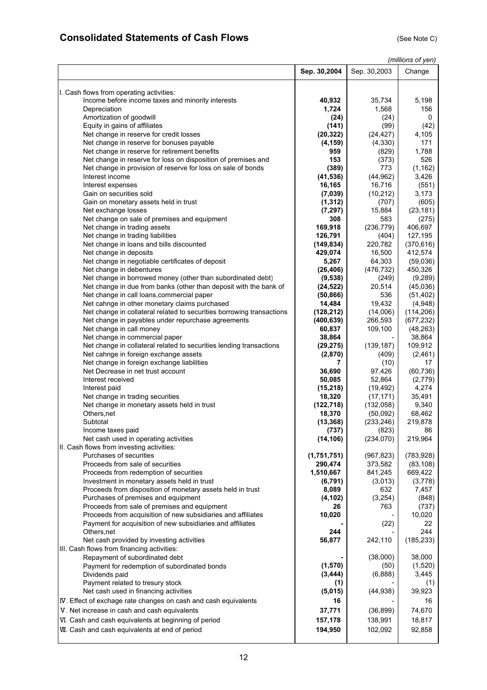# **Consolidated Statements of Cash Flows** (See Note C) (See Note C)

*(millions of yen)*

|                                                                                     | Sep. 30,2004 | Sep. 30,2003  | Change        |
|-------------------------------------------------------------------------------------|--------------|---------------|---------------|
|                                                                                     |              |               |               |
| I. Cash flows from operating activities:                                            | 40,932       | 35,734        | 5,198         |
| Income before income taxes and minority interests<br>Depreciation                   | 1,724        | 1,568         | 156           |
| Amortization of goodwill                                                            | (24)         | (24)          | 0             |
| Equity in gains of affiliates                                                       | (141)        | (99)          | (42)          |
| Net change in reserve for credit losses                                             | (20, 322)    | (24, 427)     | 4,105         |
| Net change in reserve for bonuses payable                                           | (4, 159)     | (4,330)       | 171           |
| Net change in reserve for retirement benefits                                       | 959          | (829)         | 1,788         |
| Net change in reserve for loss on disposition of premises and                       | 153          | (373)         | 526           |
| Net change in provision of reserve for loss on sale of bonds                        | (389)        | 773           | (1, 162)      |
| Interest income                                                                     | (41, 536)    | (44, 962)     | 3,426         |
| Interest expenses                                                                   | 16,165       | 16,716        | (551)         |
| Gain on securities sold                                                             | (7,039)      | (10, 212)     | 3,173         |
| Gain on monetary assets held in trust                                               | (1, 312)     | (707)         | (605)         |
| Net exchange losses                                                                 | (7, 297)     | 15,884        | (23, 181)     |
| Net change on sale of premises and equipment                                        | 308          | 583           | (275)         |
| Net change in trading assets                                                        | 169,918      | (236, 779)    | 406,697       |
| Net change in trading liabilities                                                   | 126,791      | (404)         | 127,195       |
| Net change in loans and bills discounted                                            | (149, 834)   | 220,782       | (370, 616)    |
| Net change in deposits                                                              | 429,074      | 16,500        | 412,574       |
| Net change in negotiable certificates of deposit                                    | 5,267        | 64,303        | (59,036)      |
| Net change in debentures                                                            | (26, 406)    | (476, 732)    | 450,326       |
| Net change in borrowed money (other than subordinated debt)                         | (9,538)      | (249)         | (9,289)       |
| Net change in due from banks (other than deposit with the bank of                   | (24, 522)    | 20,514        | (45,036)      |
| Net change in call loans, commercial paper                                          | (50, 866)    | 536           | (51, 402)     |
| Net cahnge in other monetary claims purchased                                       | 14,484       | 19,432        | (4,948)       |
| Net change in collateral related to securities borrowing transactions               | (128, 212)   | (14,006)      | (114, 206)    |
| Net change in payables under repurchase agreements                                  | (400, 639)   | 266,593       | (677, 232)    |
| Net change in call money                                                            | 60,837       | 109,100       | (48, 263)     |
| Net change in commercial paper                                                      | 38,864       |               | 38,864        |
| Net change in collateral related to securities lending transactions                 | (29, 275)    | (139, 187)    | 109,912       |
| Net cahnge in foreign exchange assets<br>Net change in foreign exchange liabilities | (2,870)<br>7 | (409)<br>(10) | (2,461)<br>17 |
| Net Decrease in net trust account                                                   | 36,690       | 97,426        | (60, 736)     |
| Interest received                                                                   | 50,085       | 52,864        | (2,779)       |
| Interest paid                                                                       | (15, 218)    | (19, 492)     | 4,274         |
| Net change in trading securities                                                    | 18,320       | (17, 171)     | 35,491        |
| Net change in monetary assets held in trust                                         | (122, 718)   | (132,058)     | 9,340         |
| Others, net                                                                         | 18,370       | (50,092)      | 68,462        |
| Subtotal                                                                            | (13, 368)    | (233, 246)    | 219,878       |
| Income taxes paid                                                                   | (737)        | (823)         | 86            |
| Net cash used in operating activities                                               | (14, 106)    | (234, 070)    | 219,964       |
| II. Cash flows from investing activities:                                           |              |               |               |
| Purchases of securities                                                             | (1,751,751)  | (967, 823)    | (783, 928)    |
| Proceeds from sale of securities                                                    | 290,474      | 373,582       | (83, 108)     |
| Proceeds from redemption of securities                                              | 1,510,667    | 841,245       | 669,422       |
| Investment in monetary assets held in trust                                         | (6, 791)     | (3,013)       | (3,778)       |
| Proceeds from disposition of monetary assets held in trust                          | 8,089        | 632           | 7,457         |
| Purchases of premises and equipment                                                 | (4, 102)     | (3,254)       | (848)         |
| Proceeds from sale of premises and equipment                                        | 26           | 763           | (737)         |
| Proceeds from acquisition of new subsidiaries and affiliates                        | 10,020       |               | 10,020        |
| Payment for acquisition of new subsidiaries and affiliates<br>Others, net           | 244          | (22)          | 22<br>244     |
| Net cash provided by investing activities                                           | 56,877       | 242,110       | (185, 233)    |
| III. Cash flows from financing activities:                                          |              |               |               |
| Repayment of subordinated debt                                                      |              | (38,000)      | 38,000        |
| Payment for redemption of subordinated bonds                                        | (1,570)      | (50)          | (1,520)       |
| Dividends paid                                                                      | (3, 444)     | (6,888)       | 3,445         |
| Payment related to tresury stock                                                    | (1)          |               | (1)           |
| Net cash used in financing activities                                               | (5,015)      | (44, 938)     | 39,923        |
| IV. Effect of exchage rate changes on cash and cash equivalents                     | 16           |               | 16            |
| V. Net increase in cash and cash equivalents                                        | 37,771       | (36, 899)     | 74,670        |
| VI. Cash and cash equivalents at beginning of period                                | 157,178      | 138,991       | 18,817        |
|                                                                                     |              |               |               |
| VII. Cash and cash equivalents at end of period                                     | 194,950      | 102,092       | 92,858        |
|                                                                                     |              |               |               |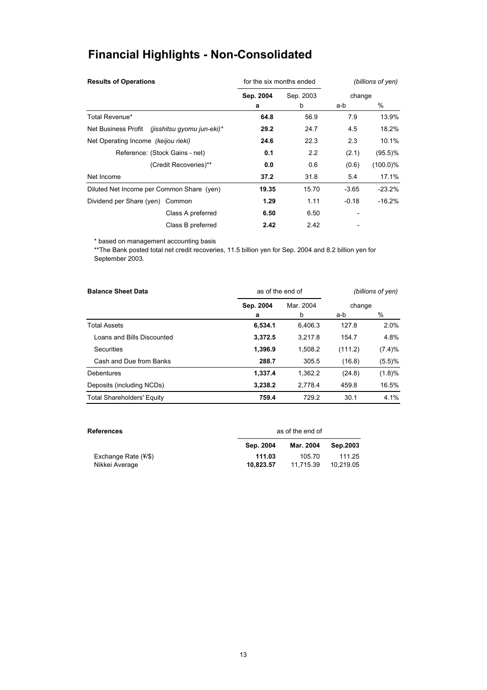# **Financial Highlights - Non-Consolidated**

| <b>Results of Operations</b>                      | for the six months ended |           | (billions of yen) |             |  |
|---------------------------------------------------|--------------------------|-----------|-------------------|-------------|--|
|                                                   | Sep. 2004                | Sep. 2003 | change            |             |  |
|                                                   | a                        | b         | a-b               | %           |  |
| Total Revenue*                                    | 64.8                     | 56.9      | 7.9               | 13.9%       |  |
| Net Business Profit<br>(jisshitsu gyomu jun-eki)* | 29.2                     | 24.7      | 4.5               | 18.2%       |  |
| Net Operating Income (keijou rieki)               | 24.6                     | 22.3      | 2.3               | 10.1%       |  |
| Reference: (Stock Gains - net)                    | 0.1                      | 2.2       | (2.1)             | $(95.5)\%$  |  |
| (Credit Recoveries)**                             | 0.0                      | 0.6       | (0.6)             | $(100.0)\%$ |  |
| Net Income                                        | 37.2                     | 31.8      | 5.4               | 17.1%       |  |
| Diluted Net Income per Common Share (yen)         | 19.35                    | 15.70     | $-3.65$           | $-23.2%$    |  |
| Dividend per Share (yen) Common                   | 1.29                     | 1.11      | $-0.18$           | $-16.2%$    |  |
| Class A preferred                                 | 6.50                     | 6.50      |                   |             |  |
| Class B preferred                                 | 2.42                     | 2.42      |                   |             |  |

\* based on management accounting basis

\*\*The Bank posted total net credit recoveries, 11.5 billion yen for Sep. 2004 and 8.2 billion yen for September 2003.

| <b>Balance Sheet Data</b>         | as of the end of | (billions of yen) |         |           |
|-----------------------------------|------------------|-------------------|---------|-----------|
|                                   | Sep. 2004        | Mar. 2004         | change  |           |
|                                   | а                | b                 | a-b     | $\%$      |
| <b>Total Assets</b>               | 6,534.1          | 6.406.3           | 127.8   | 2.0%      |
| Loans and Bills Discounted        | 3,372.5          | 3.217.8           | 154.7   | 4.8%      |
| Securities                        | 1,396.9          | 1,508.2           | (111.2) | (7.4)%    |
| Cash and Due from Banks           | 288.7            | 305.5             | (16.8)  | $(5.5)\%$ |
| <b>Debentures</b>                 | 1,337.4          | 1.362.2           | (24.8)  | (1.8)%    |
| Deposits (including NCDs)         | 3,238.2          | 2.778.4           | 459.8   | 16.5%     |
| <b>Total Shareholders' Equity</b> | 759.4            | 729.2             | 30.1    | 4.1%      |

| References                    |           | as of the end of |           |  |  |  |
|-------------------------------|-----------|------------------|-----------|--|--|--|
|                               | Sep. 2004 | Mar. 2004        | Sep.2003  |  |  |  |
| Exchange Rate $(\frac{4}{5})$ | 111.03    | 105.70           | 111.25    |  |  |  |
| Nikkei Average                | 10.823.57 | 11.715.39        | 10.219.05 |  |  |  |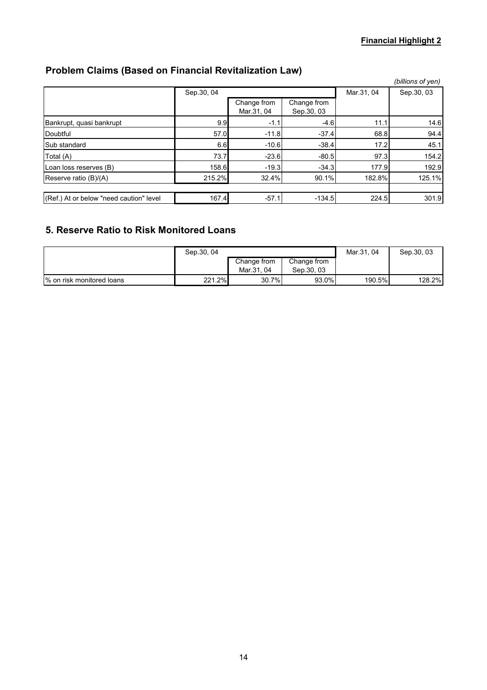# **Problem Claims (Based on Financial Revitalization Law)**

|                                         |            |                           |                            |            | (billions of yen) |
|-----------------------------------------|------------|---------------------------|----------------------------|------------|-------------------|
|                                         | Sep.30, 04 |                           |                            | Mar.31, 04 | Sep.30, 03        |
|                                         |            | Change from<br>Mar.31, 04 | Change from<br>Sep. 30, 03 |            |                   |
| Bankrupt, quasi bankrupt                | 9.9        | $-1.1$                    | $-4.6$                     | 11.1       | 14.6              |
| Doubtful                                | 57.0       | $-11.8$                   | $-37.4$                    | 68.8       | 94.4              |
| Sub standard                            | 6.6        | $-10.6$                   | $-38.4$                    | 17.2       | 45.1              |
| Total (A)                               | 73.7       | $-23.6$                   | $-80.5$                    | 97.3       | 154.2             |
| Loan loss reserves (B)                  | 158.6      | $-19.3$                   | $-34.3$                    | 177.9      | 192.9             |
| Reserve ratio (B)/(A)                   | 215.2%     | 32.4%                     | 90.1%                      | 182.8%     | 125.1%            |
|                                         |            |                           |                            |            |                   |
| (Ref.) At or below "need caution" level | 167.4      | $-57.1$                   | $-134.5$                   | 224.5      | 301.9             |

# **5. Reserve Ratio to Risk Monitored Loans**

|                           | Sep. 30, 04 |                           |                            | Mar.31, 04 | Sep. 30, 03 |
|---------------------------|-------------|---------------------------|----------------------------|------------|-------------|
|                           |             | Change from<br>Mar.31, 04 | Change from<br>Sep. 30, 03 |            |             |
|                           |             |                           |                            |            |             |
| % on risk monitored loans | 221.2%      | 30.7%                     | 93.0%                      | 190.5%     | 128.2%      |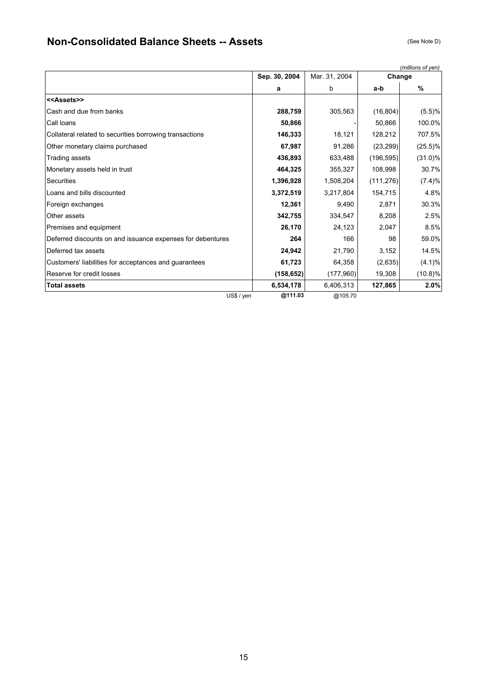# **Non-Consolidated Balance Sheets -- Assets** (See Note D) (See Note D)

|                                                            |               |               |            | (millions of yen) |
|------------------------------------------------------------|---------------|---------------|------------|-------------------|
|                                                            | Sep. 30, 2004 | Mar. 31, 2004 | Change     |                   |
|                                                            | a             | b             | a-b        | $\%$              |
| < <assets>&gt;</assets>                                    |               |               |            |                   |
| Cash and due from banks                                    | 288,759       | 305,563       | (16, 804)  | (5.5)%            |
| Call loans                                                 | 50,866        |               | 50,866     | 100.0%            |
| Collateral related to securities borrowing transactions    | 146,333       | 18,121        | 128,212    | 707.5%            |
| Other monetary claims purchased                            | 67,987        | 91,286        | (23, 299)  | $(25.5)\%$        |
| Trading assets                                             | 436,893       | 633,488       | (196, 595) | $(31.0)\%$        |
| Monetary assets held in trust                              | 464,325       | 355,327       | 108,998    | 30.7%             |
| Securities                                                 | 1,396,928     | 1,508,204     | (111, 276) | (7.4)%            |
| Loans and bills discounted                                 | 3,372,519     | 3,217,804     | 154,715    | 4.8%              |
| Foreign exchanges                                          | 12,361        | 9,490         | 2,871      | 30.3%             |
| Other assets                                               | 342,755       | 334,547       | 8,208      | 2.5%              |
| Premises and equipment                                     | 26,170        | 24,123        | 2,047      | 8.5%              |
| Deferred discounts on and issuance expenses for debentures | 264           | 166           | 98         | 59.0%             |
| Deferred tax assets                                        | 24,942        | 21,790        | 3,152      | 14.5%             |
| Customers' liabilities for acceptances and guarantees      | 61,723        | 64,358        | (2,635)    | $(4.1)\%$         |
| Reserve for credit losses                                  | (158, 652)    | (177,960)     | 19,308     | $(10.8)\%$        |
| <b>Total assets</b>                                        | 6,534,178     | 6,406,313     | 127,865    | 2.0%              |
| US\$ / yen                                                 | @111.03       | @105.70       |            |                   |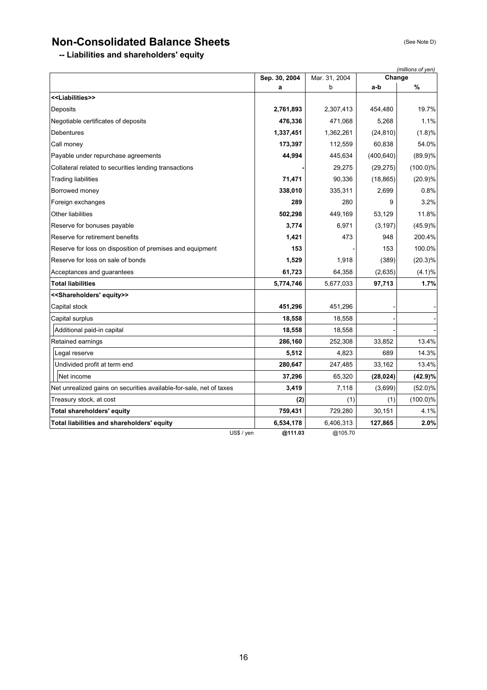# **Non-Consolidated Balance Sheets** (See Note D)

**-- Liabilities and shareholders' equity**

|                                                                     | Sep. 30, 2004 | Mar. 31, 2004 | Change     | (millions of yen) |
|---------------------------------------------------------------------|---------------|---------------|------------|-------------------|
|                                                                     | a             | b             | a-b        | %                 |
| < <liabilities>&gt;</liabilities>                                   |               |               |            |                   |
| Deposits                                                            | 2,761,893     | 2,307,413     | 454,480    | 19.7%             |
| Negotiable certificates of deposits                                 | 476,336       | 471,068       | 5,268      | 1.1%              |
| Debentures                                                          | 1,337,451     | 1,362,261     | (24, 810)  | (1.8)%            |
| Call money                                                          | 173,397       | 112,559       | 60,838     | 54.0%             |
| Payable under repurchase agreements                                 | 44,994        | 445,634       | (400, 640) | $(89.9)\%$        |
| Collateral related to securities lending transactions               |               | 29,275        | (29, 275)  | $(100.0)\%$       |
| <b>Trading liabilities</b>                                          | 71,471        | 90,336        | (18, 865)  | (20.9)%           |
| Borrowed money                                                      | 338,010       | 335,311       | 2,699      | 0.8%              |
| Foreign exchanges                                                   | 289           | 280           | 9          | 3.2%              |
| Other liabilities                                                   | 502,298       | 449,169       | 53,129     | 11.8%             |
| Reserve for bonuses payable                                         | 3,774         | 6,971         | (3, 197)   | (45.9)%           |
| Reserve for retirement benefits                                     | 1,421         | 473           | 948        | 200.4%            |
| Reserve for loss on disposition of premises and equipment           | 153           |               | 153        | 100.0%            |
| Reserve for loss on sale of bonds                                   | 1,529         | 1,918         | (389)      | $(20.3)\%$        |
| Acceptances and guarantees                                          | 61,723        | 64,358        | (2,635)    | (4.1)%            |
| Total liabilities                                                   | 5,774,746     | 5,677,033     | 97,713     | 1.7%              |
| < <shareholders' equity="">&gt;</shareholders'>                     |               |               |            |                   |
| Capital stock                                                       | 451,296       | 451,296       |            |                   |
| Capital surplus                                                     | 18,558        | 18,558        |            |                   |
| Additional paid-in capital                                          | 18,558        | 18,558        |            |                   |
| Retained earnings                                                   | 286,160       | 252,308       | 33,852     | 13.4%             |
| Legal reserve                                                       | 5,512         | 4,823         | 689        | 14.3%             |
| Undivided profit at term end                                        | 280,647       | 247,485       | 33,162     | 13.4%             |
| Net income                                                          | 37,296        | 65,320        | (28, 024)  | (42.9)%           |
| Net unrealized gains on securities available-for-sale, net of taxes | 3,419         | 7,118         | (3,699)    | $(52.0)\%$        |
| Treasury stock, at cost                                             | (2)           | (1)           | (1)        | $(100.0)\%$       |
| Total shareholders' equity                                          | 759,431       | 729,280       | 30,151     | 4.1%              |
| Total liabilities and shareholders' equity                          | 6,534,178     | 6,406,313     | 127,865    | 2.0%              |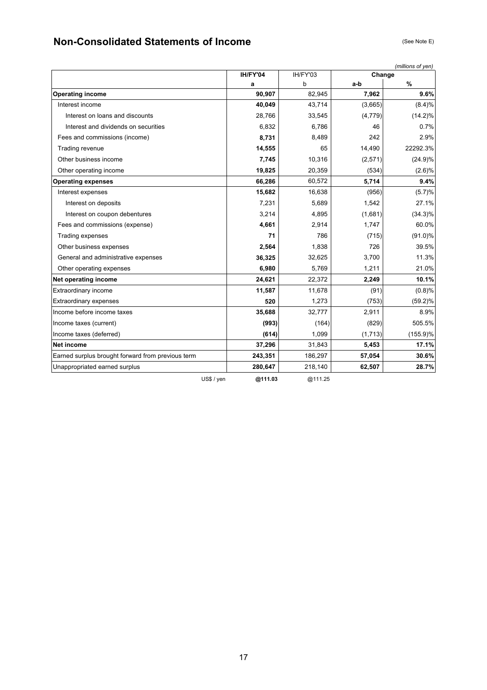# **Non-Consolidated Statements of Income** (See Note E) (See Note E)

|                                                   | IH/FY'04 | IH/FY'03 | Change   | (millions of yen) |
|---------------------------------------------------|----------|----------|----------|-------------------|
|                                                   | a        | b        | a-b      | %                 |
| <b>Operating income</b>                           | 90,907   | 82,945   | 7,962    | 9.6%              |
| Interest income                                   | 40,049   | 43,714   | (3,665)  | (8.4)%            |
| Interest on loans and discounts                   | 28,766   | 33,545   | (4, 779) | $(14.2)\%$        |
| Interest and dividends on securities              | 6,832    | 6,786    | 46       | 0.7%              |
| Fees and commissions (income)                     | 8,731    | 8,489    | 242      | 2.9%              |
| Trading revenue                                   | 14,555   | 65       | 14,490   | 22292.3%          |
| Other business income                             | 7,745    | 10,316   | (2,571)  | (24.9)%           |
| Other operating income                            | 19,825   | 20,359   | (534)    | $(2.6)\%$         |
| <b>Operating expenses</b>                         | 66,286   | 60,572   | 5,714    | 9.4%              |
| Interest expenses                                 | 15,682   | 16,638   | (956)    | (5.7)%            |
| Interest on deposits                              | 7,231    | 5,689    | 1,542    | 27.1%             |
| Interest on coupon debentures                     | 3,214    | 4,895    | (1,681)  | $(34.3)\%$        |
| Fees and commissions (expense)                    | 4,661    | 2,914    | 1,747    | 60.0%             |
| Trading expenses                                  | 71       | 786      | (715)    | $(91.0)\%$        |
| Other business expenses                           | 2,564    | 1,838    | 726      | 39.5%             |
| General and administrative expenses               | 36,325   | 32,625   | 3,700    | 11.3%             |
| Other operating expenses                          | 6,980    | 5,769    | 1,211    | 21.0%             |
| Net operating income                              | 24,621   | 22,372   | 2,249    | 10.1%             |
| Extraordinary income                              | 11,587   | 11,678   | (91)     | (0.8)%            |
| <b>Extraordinary expenses</b>                     | 520      | 1,273    | (753)    | $(59.2)\%$        |
| Income before income taxes                        | 35,688   | 32,777   | 2,911    | 8.9%              |
| Income taxes (current)                            | (993)    | (164)    | (829)    | 505.5%            |
| Income taxes (deferred)                           | (614)    | 1,099    | (1,713)  | $(155.9)\%$       |
| Net income                                        | 37,296   | 31,843   | 5,453    | 17.1%             |
| Earned surplus brought forward from previous term | 243,351  | 186,297  | 57,054   | 30.6%             |
| Unappropriated earned surplus                     | 280,647  | 218,140  | 62,507   | 28.7%             |
| US\$ / yen                                        | @111.03  | @111.25  |          |                   |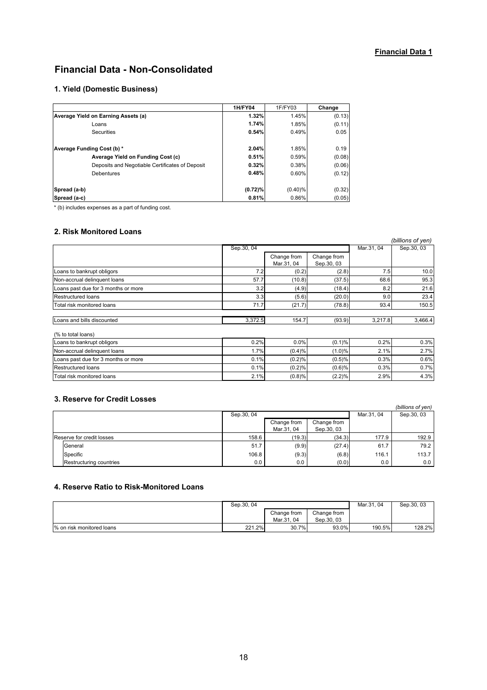### **Financial Data 1**

# **Financial Data - Non-Consolidated**

### **1. Yield (Domestic Business)**

|                                                 | <b>1H/FY04</b> | 1F/FY03    | Change |
|-------------------------------------------------|----------------|------------|--------|
| Average Yield on Earning Assets (a)             | 1.32%          | 1.45%      | (0.13) |
| Loans                                           | 1.74%          | 1.85%      | (0.11) |
| Securities                                      | 0.54%          | 0.49%      | 0.05   |
| Average Funding Cost (b) *                      | 2.04%          | 1.85%      | 0.19   |
| Average Yield on Funding Cost (c)               | 0.51%          | 0.59%      | (0.08) |
| Deposits and Negotiable Certificates of Deposit | 0.32%          | 0.38%      | (0.06) |
| <b>Debentures</b>                               | 0.48%          | 0.60%      | (0.12) |
|                                                 |                |            |        |
| Spread (a-b)                                    | $(0.72)\%$     | $(0.40)\%$ | (0.32) |
| Spread (a-c)                                    | 0.81%          | 0.86%      | (0.05) |

\* (b) includes expenses as a part of funding cost.

#### **2. Risk Monitored Loans**

|                                     |            |             |             |            | (billions of yen) |
|-------------------------------------|------------|-------------|-------------|------------|-------------------|
|                                     | Sep.30, 04 |             |             | Mar.31, 04 | Sep.30, 03        |
|                                     |            | Change from | Change from |            |                   |
|                                     |            | Mar.31, 04  | Sep.30, 03  |            |                   |
| Loans to bankrupt obligors          | 7.2        | (0.2)       | (2.8)       | 7.5        | 10.0              |
| Non-accrual delinguent loans        | 57.7       | (10.8)      | (37.5)      | 68.6       | 95.3              |
| Loans past due for 3 months or more | 3.2        | (4.9)       | (18.4)      | 8.2        | 21.6              |
| <b>Restructured loans</b>           | 3.3        | (5.6)       | (20.0)      | 9.0        | 23.4              |
| Total risk monitored loans          | 71.7       | (21.7)      | (78.8)      | 93.4       | 150.5             |
| Loans and bills discounted          | 3,372.5    | 154.7       | (93.9)      | 3,217.8    | 3,466.4           |
| (% to total loans)                  |            |             |             |            |                   |
| Loans to bankrupt obligors          | 0.2%       | 0.0%        | (0.1)%      | 0.2%       | 0.3%              |
| Non-accrual delinquent loans        | 1.7%       | (0.4)%      | (1.0)%      | 2.1%       | 2.7%              |
| Loans past due for 3 months or more | 0.1%       | (0.2)%      | (0.5)%      | 0.3%       | 0.6%              |
| <b>Restructured loans</b>           | 0.1%       | (0.2)%      | (0.6)%      | 0.3%       | 0.7%              |
| Total risk monitored loans          | 2.1%       | (0.8)%      | (2.2)%      | 2.9%       | 4.3%              |

#### **3. Reserve for Credit Losses**

|                           |            |             |             |            | (billions of yen) |
|---------------------------|------------|-------------|-------------|------------|-------------------|
|                           | Sep.30, 04 |             |             | Mar.31, 04 | Sep.30, 03        |
|                           |            | Change from | Change from |            |                   |
|                           |            | Mar.31, 04  | Sep.30, 03  |            |                   |
| Reserve for credit losses | 158.6      | (19.3)      | (34.3)      | 177.9      | 192.9             |
| General                   | 51.7       | (9.9)       | (27.4)      | 61.7       | 79.2              |
| Specific                  | 106.8      | (9.3)       | (6.8)       | 116.1      | 113.7             |
| Restructuring countries   | 0.0        | $0.0\,$     | (0.0)       | $0.0\,$    | 0.0               |

#### **4. Reserve Ratio to Risk-Monitored Loans**

|                           | Sep.30, 04 |                           |                           |        | Sep.30, 03 |
|---------------------------|------------|---------------------------|---------------------------|--------|------------|
|                           |            | Change from<br>Mar.31, 04 | Change from<br>Sep.30, 03 |        |            |
| % on risk monitored loans | 221.2%     | 30.7%                     | 93.0%                     | 190.5% | 128.2%     |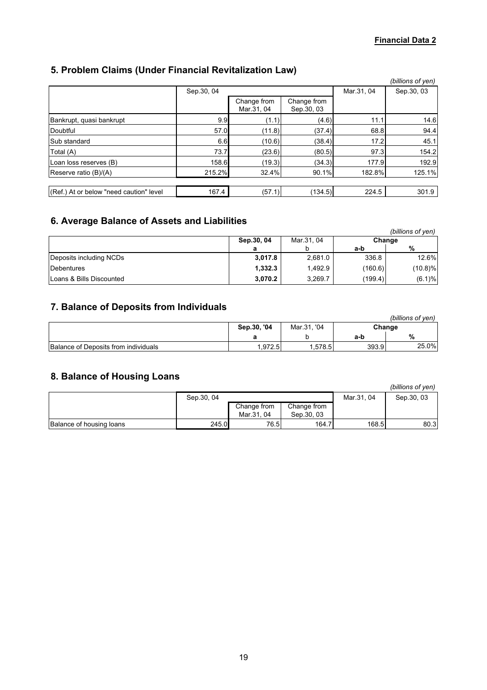# **5. Problem Claims (Under Financial Revitalization Law)**

|                                         |             |                           |                            |            | (billions of yen) |
|-----------------------------------------|-------------|---------------------------|----------------------------|------------|-------------------|
|                                         | Sep. 30, 04 |                           |                            | Mar.31, 04 | Sep. 30, 03       |
|                                         |             | Change from<br>Mar.31, 04 | Change from<br>Sep. 30, 03 |            |                   |
| Bankrupt, quasi bankrupt                | 9.9         | (1.1)                     | (4.6)                      | 11.1       | 14.6              |
| Doubtful                                | 57.0        | (11.8)                    | (37.4)                     | 68.8       | 94.4              |
| Sub standard                            | 6.6         | (10.6)                    | (38.4)                     | 17.2       | 45.1              |
| Total (A)                               | 73.7        | (23.6)                    | (80.5)                     | 97.3       | 154.2             |
| Loan loss reserves (B)                  | 158.6       | (19.3)                    | (34.3)                     | 177.9      | 192.9             |
| Reserve ratio (B)/(A)                   | 215.2%      | 32.4%                     | 90.1%                      | 182.8%     | 125.1%            |
|                                         |             |                           |                            |            |                   |
| (Ref.) At or below "need caution" level | 167.4       | (57.1)                    | (134.5)                    | 224.5      | 301.9             |

# **6. Average Balance of Assets and Liabilities**

|                          |                                    |         |         | (billions of yen) |
|--------------------------|------------------------------------|---------|---------|-------------------|
|                          | Mar.31, 04<br>Sep.30, 04<br>Change |         |         |                   |
|                          | а                                  |         | a-b     | %                 |
| Deposits including NCDs  | 3,017.8                            | 2,681.0 | 336.8   | 12.6%             |
| <b>IDebentures</b>       | 1.332.3                            | 1.492.9 | (160.6) | $(10.8)$ %        |
| Loans & Bills Discounted | 3.070.2                            | 3.269.7 | (199.4) | (6.1)%            |

## **7. Balance of Deposits from Individuals**

|                                      |                                      |        |       | (billions of ven) |
|--------------------------------------|--------------------------------------|--------|-------|-------------------|
|                                      | Sep.30, '04<br>Mar.31. '04<br>Change |        |       |                   |
|                                      |                                      |        | a-b   | %                 |
| Balance of Deposits from individuals | .972.5                               | .578.5 | 393.9 | 25.0%             |

# **8. Balance of Housing Loans**

|                          |             |             |             |            | (billions of yen) |
|--------------------------|-------------|-------------|-------------|------------|-------------------|
|                          | Sep. 30, 04 |             |             | Mar.31, 04 | Sep. 30, 03       |
|                          |             | Change from | Change from |            |                   |
|                          |             | Mar.31, 04  | Sep. 30, 03 |            |                   |
| Balance of housing loans | 245.0       | 76.5        | 164.7       | 168.5      | 80.3              |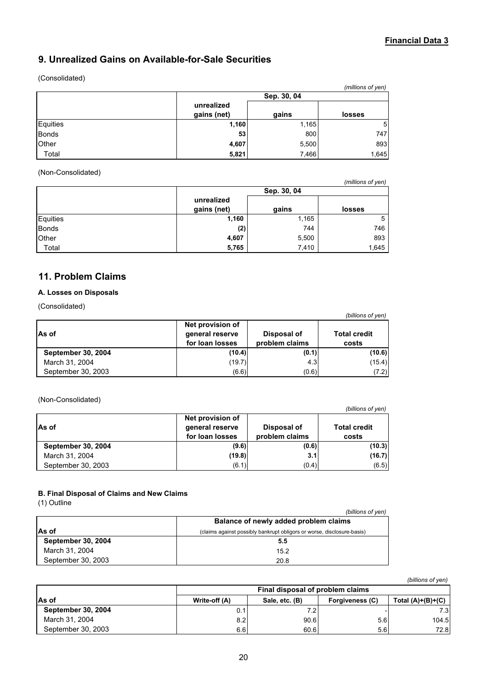### **Financial Data 3**

# **9. Unrealized Gains on Available-for-Sale Securities**

#### (Consolidated)

|              |             |             | (millions of yen) |  |  |  |
|--------------|-------------|-------------|-------------------|--|--|--|
|              |             | Sep. 30, 04 |                   |  |  |  |
|              | unrealized  |             |                   |  |  |  |
|              | gains (net) | gains       | losses            |  |  |  |
| Equities     | 1,160       | 1,165       | 5                 |  |  |  |
| <b>Bonds</b> | 53          | 800         | 747               |  |  |  |
| Other        | 4,607       | 5,500       | 893               |  |  |  |
| Total        | 5,821       | 7,466       | 1,645             |  |  |  |

#### (Non-Consolidated)

|              |                                              |             | (millions of yen) |  |  |
|--------------|----------------------------------------------|-------------|-------------------|--|--|
|              |                                              | Sep. 30, 04 |                   |  |  |
|              | unrealized<br>gains (net)<br>gains<br>losses |             |                   |  |  |
| Equities     | 1,160                                        | 1,165       | 5                 |  |  |
| <b>Bonds</b> | (2)                                          | 744         | 746               |  |  |
| Other        | 4,607                                        | 5,500       | 893               |  |  |
| Total        | 5,765                                        | 7,410       | 1,645             |  |  |

## **11. Problem Claims**

### **A. Losses on Disposals**

(Consolidated)

|                           |                                                        |                               | (billions of yen)            |
|---------------------------|--------------------------------------------------------|-------------------------------|------------------------------|
| As of                     | Net provision of<br>general reserve<br>for loan losses | Disposal of<br>problem claims | <b>Total credit</b><br>costs |
| <b>September 30, 2004</b> | (10.4)                                                 | (0.1)                         | (10.6)                       |
| March 31, 2004            | (19.7)                                                 | 4.3                           | (15.4)                       |
| September 30, 2003        | (6.6)                                                  | (0.6)                         | (7.2)                        |

(Non-Consolidated)

|                           |                                                        |                               | (billions of yen)            |
|---------------------------|--------------------------------------------------------|-------------------------------|------------------------------|
| As of                     | Net provision of<br>general reserve<br>for loan losses | Disposal of<br>problem claims | <b>Total credit</b><br>costs |
| <b>September 30, 2004</b> | (9.6)                                                  | (0.6)                         | (10.3)                       |
| March 31, 2004            | (19.8)                                                 | 3.1                           | (16.7)                       |
| September 30, 2003        | (6.1)                                                  | (0.4)                         | (6.5)                        |

#### **B. Final Disposal of Claims and New Claims**

(1) Outline

| $111$ vuunv               |                                                                        |
|---------------------------|------------------------------------------------------------------------|
|                           | (billions of yen)                                                      |
|                           | Balance of newly added problem claims                                  |
| <b>As of</b>              | (claims against possibly bankrupt obligors or worse, disclosure-basis) |
| <b>September 30, 2004</b> | 5.5                                                                    |
| March 31, 2004            | 15.2                                                                   |
| September 30, 2003        | 20.8                                                                   |

*(billions of yen)*

|                           | Final disposal of problem claims                                          |      |     |       |  |  |  |
|---------------------------|---------------------------------------------------------------------------|------|-----|-------|--|--|--|
| As of                     | Total $(A)+(B)+(C)$<br>Sale, etc. (B)<br>Write-off (A)<br>Forgiveness (C) |      |     |       |  |  |  |
| <b>September 30, 2004</b> | 0.1                                                                       |      |     | 7.3I  |  |  |  |
| March 31, 2004            | 8.2                                                                       | 90.6 | 5.6 | 104.5 |  |  |  |
| September 30, 2003        | 6.6                                                                       | 60.6 | 5.6 | 72.8  |  |  |  |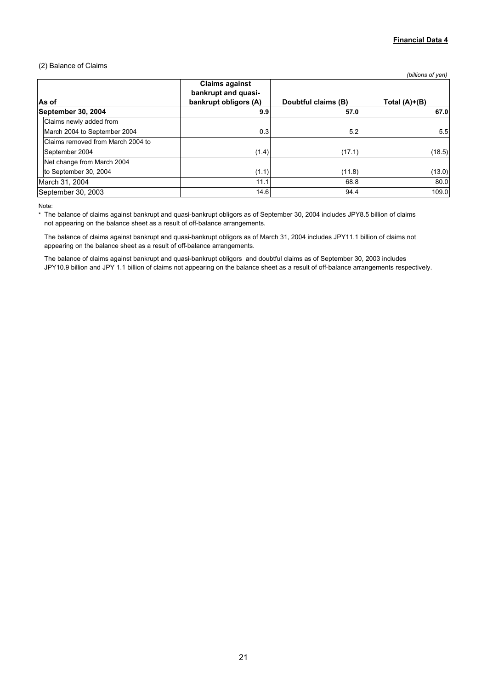#### (2) Balance of Claims

|                                   |                                                                       |                     | (billions of yen)   |
|-----------------------------------|-----------------------------------------------------------------------|---------------------|---------------------|
| As of                             | <b>Claims against</b><br>bankrupt and quasi-<br>bankrupt obligors (A) | Doubtful claims (B) | Total $(A)$ + $(B)$ |
| September 30, 2004                | 9.9                                                                   | 57.0                | 67.0                |
| Claims newly added from           |                                                                       |                     |                     |
| March 2004 to September 2004      | 0.3                                                                   | 5.2                 | 5.5                 |
| Claims removed from March 2004 to |                                                                       |                     |                     |
| September 2004                    | (1.4)                                                                 | (17.1)              | (18.5)              |
| Net change from March 2004        |                                                                       |                     |                     |
| to September 30, 2004             | (1.1)                                                                 | (11.8)              | (13.0)              |
| March 31, 2004                    | 11.1                                                                  | 68.8                | 80.0                |
| September 30, 2003                | 14.6                                                                  | 94.4                | 109.0               |

Note:

\* The balance of claims against bankrupt and quasi-bankrupt obligors as of September 30, 2004 includes JPY8.5 billion of claims not appearing on the balance sheet as a result of off-balance arrangements.

The balance of claims against bankrupt and quasi-bankrupt obligors as of March 31, 2004 includes JPY11.1 billion of claims not appearing on the balance sheet as a result of off-balance arrangements.

The balance of claims against bankrupt and quasi-bankrupt obligors and doubtful claims as of September 30, 2003 includes JPY10.9 billion and JPY 1.1 billion of claims not appearing on the balance sheet as a result of off-balance arrangements respectively.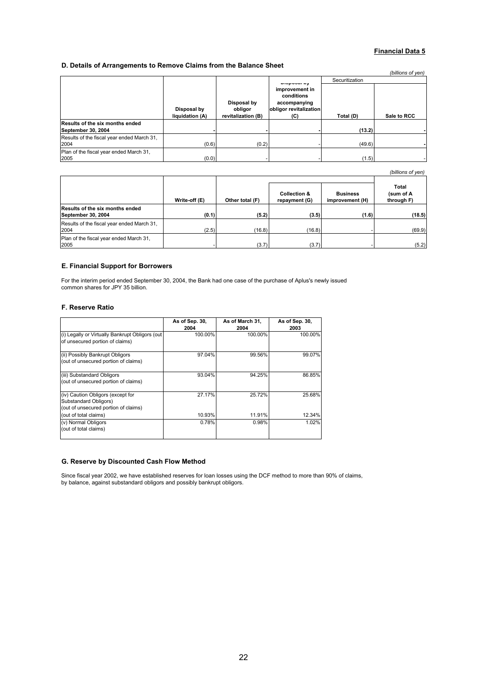#### **Financial Data 5**

#### **D. Details of Arrangements to Remove Claims from the Balance Sheet**

|                                                       |                                |                                              |                                                                               |                | (billions of yen) |
|-------------------------------------------------------|--------------------------------|----------------------------------------------|-------------------------------------------------------------------------------|----------------|-------------------|
|                                                       |                                |                                              | <b>Proposer</b> My                                                            | Securitization |                   |
|                                                       | Disposal by<br>liquidation (A) | Disposal by<br>obligor<br>revitalization (B) | improvement in<br>conditions<br>accompanying<br>obligor revitalization<br>(C) | Total (D)      | Sale to RCC       |
| Results of the six months ended<br>September 30, 2004 |                                |                                              |                                                                               | (13.2)         |                   |
| Results of the fiscal year ended March 31,<br>2004    | (0.6)                          | (0.2)                                        |                                                                               | (49.6)         |                   |
| Plan of the fiscal year ended March 31,<br>2005       | (0.0)                          |                                              |                                                                               | (1.5)          |                   |

*(billions of yen)*

|                                                       | Write-off (E) | Other total (F) | <b>Collection &amp;</b><br>repayment (G) | <b>Business</b><br>improvement (H) | Total<br>(sum of A<br>through F) |
|-------------------------------------------------------|---------------|-----------------|------------------------------------------|------------------------------------|----------------------------------|
| Results of the six months ended<br>September 30, 2004 | (0.1)         | (5.2)           | (3.5)                                    | (1.6)                              | (18.5)                           |
| Results of the fiscal year ended March 31,<br>2004    | (2.5)         | (16.8)          | (16.8)                                   |                                    | (69.9)                           |
| Plan of the fiscal year ended March 31.<br>2005       |               | (3.7)           | (3.7)                                    |                                    | (5.2)                            |

#### **E. Financial Support for Borrowers**

For the interim period ended September 30, 2004, the Bank had one case of the purchase of Aplus's newly issued common shares for JPY 35 billion.

#### **F. Reserve Ratio**

|                                                                                                    | As of Sep. 30,<br>2004 | As of March 31,<br>2004 | As of Sep. 30,<br>2003 |
|----------------------------------------------------------------------------------------------------|------------------------|-------------------------|------------------------|
| (i) Legally or Virtually Bankrupt Obligors (out<br>of unsecured portion of claims)                 | 100.00%                | 100.00%                 | 100.00%                |
| (ii) Possibly Bankrupt Obligors<br>(out of unsecured portion of claims)                            | 97.04%                 | 99.56%                  | 99.07%                 |
| (iii) Substandard Obligors<br>(out of unsecured portion of claims)                                 | 93.04%                 | 94.25%                  | 86.85%                 |
| (iv) Caution Obligors (except for<br>Substandard Obligors)<br>(out of unsecured portion of claims) | 27.17%                 | 25.72%                  | 25.68%                 |
| (out of total claims)                                                                              | 10.93%                 | 11.91%                  | 12.34%                 |
| (v) Normal Obligors<br>(out of total claims)                                                       | 0.78%                  | 0.98%                   | 1.02%                  |

#### **G. Reserve by Discounted Cash Flow Method**

Since fiscal year 2002, we have established reserves for loan losses using the DCF method to more than 90% of claims, by balance, against substandard obligors and possibly bankrupt obligors.